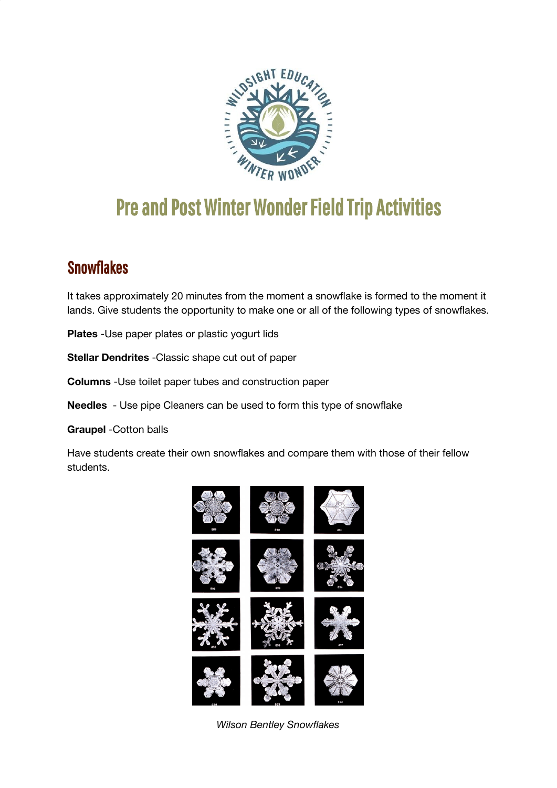

# Pre and Post Winter Wonder Field Trip Activities

# **Snowflakes**

It takes approximately 20 minutes from the moment a snowflake is formed to the moment it lands. Give students the opportunity to make one or all of the following types of snowflakes.

**Plates** -Use paper plates or plastic yogurt lids

**Stellar Dendrites** -Classic shape cut out of paper

**Columns** -Use toilet paper tubes and construction paper

**Needles** - Use pipe Cleaners can be used to form this type of snowflake

**Graupel** -Cotton balls

Have students create their own snowflakes and compare them with those of their fellow students.



*Wilson Bentley Snowflakes*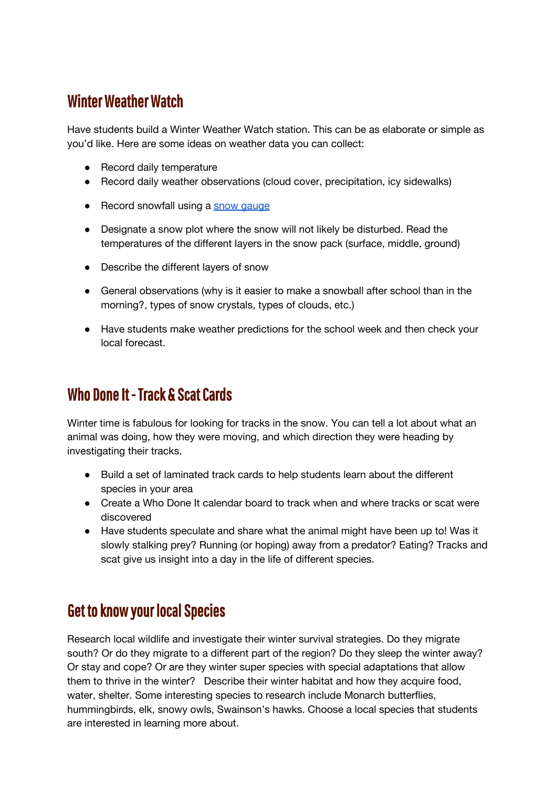## Winter Weather Watch

Have students build a Winter Weather Watch station. This can be as elaborate or simple as you'd like. Here are some ideas on weather data you can collect:

- Record daily temperature
- Record daily weather observations (cloud cover, precipitation, icy sidewalks)
- Record snowfall using a snow [gauge](https://www.scholastic.com/teachers/articles/teaching-content/snow-gauge/)
- Designate a snow plot where the snow will not likely be disturbed. Read the temperatures of the different layers in the snow pack (surface, middle, ground)
- Describe the different layers of snow
- General observations (why is it easier to make a snowball after school than in the morning?, types of snow crystals, types of clouds, etc.)
- Have students make weather predictions for the school week and then check your local forecast.

### Who Done It - Track & Scat Cards

Winter time is fabulous for looking for tracks in the snow. You can tell a lot about what an animal was doing, how they were moving, and which direction they were heading by investigating their tracks.

- Build a set of laminated track cards to help students learn about the different species in your area
- Create a Who Done It calendar board to track when and where tracks or scat were discovered
- Have students speculate and share what the animal might have been up to! Was it slowly stalking prey? Running (or hoping) away from a predator? Eating? Tracks and scat give us insight into a day in the life of different species.

#### **Get to know your local Species**

Research local wildlife and investigate their winter survival strategies. Do they migrate south? Or do they migrate to a different part of the region? Do they sleep the winter away? Or stay and cope? Or are they winter super species with special adaptations that allow them to thrive in the winter? Describe their winter habitat and how they acquire food, water, shelter. Some interesting species to research include Monarch butterflies, hummingbirds, elk, snowy owls, Swainson's hawks. Choose a local species that students are interested in learning more about.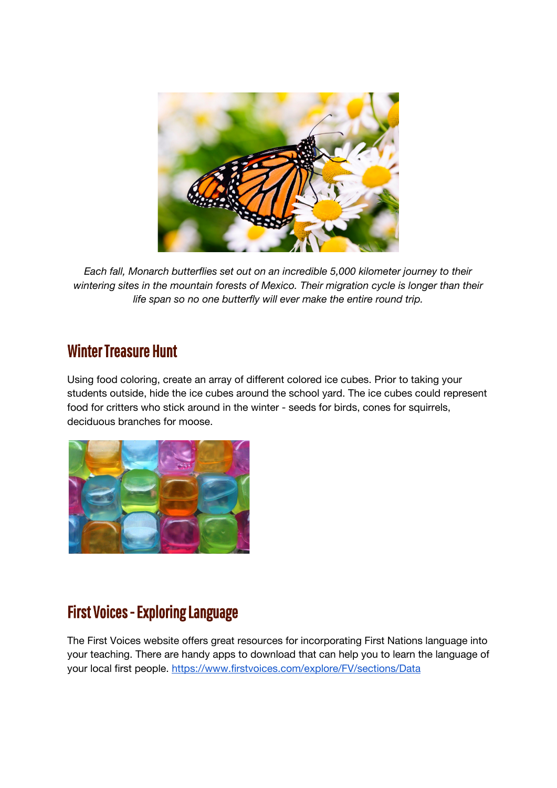

*Each fall, Monarch butterflies set out on an incredible 5,000 kilometer journey to their wintering sites in the mountain forests of Mexico. Their migration cycle is longer than their life span so no one butterfly will ever make the entire round trip.*

#### Winter Treasure Hunt

Using food coloring, create an array of different colored ice cubes. Prior to taking your students outside, hide the ice cubes around the school yard. The ice cubes could represent food for critters who stick around in the winter - seeds for birds, cones for squirrels, deciduous branches for moose.



## First Voices - Exploring Language

The First Voices website offers great resources for incorporating First Nations language into your teaching. There are handy apps to download that can help you to learn the language of your local first people. <https://www.firstvoices.com/explore/FV/sections/Data>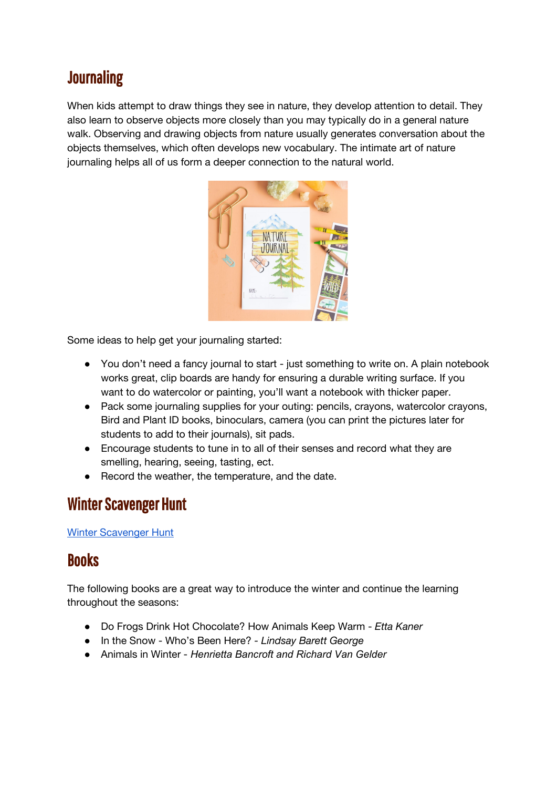# **Journaling**

When kids attempt to draw things they see in nature, they develop attention to detail. They also learn to observe objects more closely than you may typically do in a general nature walk. Observing and drawing objects from nature usually generates conversation about the objects themselves, which often develops new vocabulary. The intimate art of nature journaling helps all of us form a deeper connection to the natural world.



Some ideas to help get your journaling started:

- You don't need a fancy journal to start just something to write on. A plain notebook works great, clip boards are handy for ensuring a durable writing surface. If you want to do watercolor or painting, you'll want a notebook with thicker paper.
- Pack some journaling supplies for your outing: pencils, crayons, watercolor crayons, Bird and Plant ID books, binoculars, camera (you can print the pictures later for students to add to their journals), sit pads.
- Encourage students to tune in to all of their senses and record what they are smelling, hearing, seeing, tasting, ect.
- Record the weather, the temperature, and the date.

#### Winter Scavenger Hunt

Winter [Scavenger](https://drive.google.com/drive/folders/1iCj5ZSwoP-hfDULWb7M-s3v6YeZJotQb) Hunt

#### **Books**

The following books are a great way to introduce the winter and continue the learning throughout the seasons:

- Do Frogs Drink Hot Chocolate? How Animals Keep Warm *Etta Kaner*
- In the Snow Who's Been Here? *- Lindsay Barett George*
- Animals in Winter *Henrietta Bancroft and Richard Van Gelder*